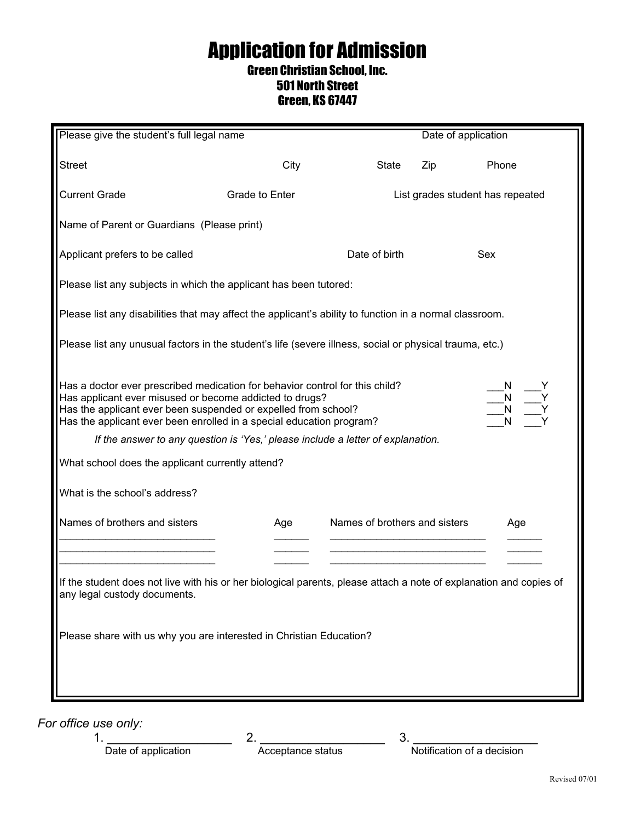## Application for Admission Green Christian School, Inc.

## 501 North Street

## Green, KS 67447

| Please give the student's full legal name                                                                                                                                                                                                                                                                                                                                                                                                                 |                |                               | Date of application |                                  |  |
|-----------------------------------------------------------------------------------------------------------------------------------------------------------------------------------------------------------------------------------------------------------------------------------------------------------------------------------------------------------------------------------------------------------------------------------------------------------|----------------|-------------------------------|---------------------|----------------------------------|--|
| <b>Street</b>                                                                                                                                                                                                                                                                                                                                                                                                                                             | City           | <b>State</b>                  | Zip                 | Phone                            |  |
| <b>Current Grade</b>                                                                                                                                                                                                                                                                                                                                                                                                                                      | Grade to Enter |                               |                     | List grades student has repeated |  |
| Name of Parent or Guardians (Please print)                                                                                                                                                                                                                                                                                                                                                                                                                |                |                               |                     |                                  |  |
| Applicant prefers to be called                                                                                                                                                                                                                                                                                                                                                                                                                            |                | Date of birth                 |                     | Sex                              |  |
| Please list any subjects in which the applicant has been tutored:                                                                                                                                                                                                                                                                                                                                                                                         |                |                               |                     |                                  |  |
| Please list any disabilities that may affect the applicant's ability to function in a normal classroom.                                                                                                                                                                                                                                                                                                                                                   |                |                               |                     |                                  |  |
| Please list any unusual factors in the student's life (severe illness, social or physical trauma, etc.)                                                                                                                                                                                                                                                                                                                                                   |                |                               |                     |                                  |  |
| Has a doctor ever prescribed medication for behavior control for this child?<br>Has applicant ever misused or become addicted to drugs?<br>Has the applicant ever been suspended or expelled from school?<br>Has the applicant ever been enrolled in a special education program?<br>If the answer to any question is 'Yes,' please include a letter of explanation.<br>What school does the applicant currently attend?<br>What is the school's address? |                |                               |                     |                                  |  |
| Names of brothers and sisters                                                                                                                                                                                                                                                                                                                                                                                                                             | Age            | Names of brothers and sisters |                     | Age                              |  |
|                                                                                                                                                                                                                                                                                                                                                                                                                                                           |                |                               |                     |                                  |  |
| If the student does not live with his or her biological parents, please attach a note of explanation and copies of<br>any legal custody documents.                                                                                                                                                                                                                                                                                                        |                |                               |                     |                                  |  |
| Please share with us why you are interested in Christian Education?                                                                                                                                                                                                                                                                                                                                                                                       |                |                               |                     |                                  |  |

*For office use only:*

 $1.$   $2.$   $2.$   $3.$ 

Date of application **Acceptance status** Notification of a decision